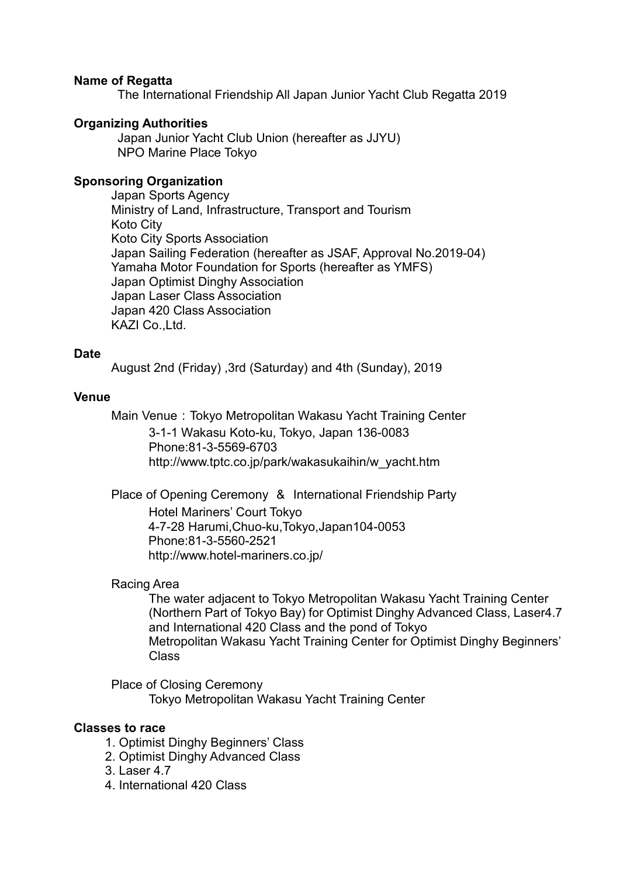### **Name of Regatta**

The International Friendship All Japan Junior Yacht Club Regatta 2019

### **Organizing Authorities**

Japan Junior Yacht Club Union (hereafter as JJYU) NPO Marine Place Tokyo

### **Sponsoring Organization**

Japan Sports Agency Ministry of Land, Infrastructure, Transport and Tourism Koto City Koto City Sports Association Japan Sailing Federation (hereafter as JSAF, Approval No.2019-04) Yamaha Motor Foundation for Sports (hereafter as YMFS) Japan Optimist Dinghy Association Japan Laser Class Association Japan 420 Class Association KAZI Co.,Ltd.

### **Date**

August 2nd (Friday) ,3rd (Saturday) and 4th (Sunday), 2019

### **Venue**

Main Venue: Tokyo Metropolitan Wakasu Yacht Training Center 3-1-1 Wakasu Koto-ku, Tokyo, Japan 136-0083 Phone:81-3-5569-6703 http://www.tptc.co.jp/park/wakasukaihin/w\_yacht.htm

Place of Opening Ceremony & International Friendship Party Hotel Mariners' Court Tokyo 4-7-28 Harumi,Chuo-ku,Tokyo,Japan104-0053 Phone:81-3-5560-2521

http://www.hotel-mariners.co.jp/

### Racing Area

 The water adjacent to Tokyo Metropolitan Wakasu Yacht Training Center (Northern Part of Tokyo Bay) for Optimist Dinghy Advanced Class, Laser4.7 and International 420 Class and the pond of Tokyo Metropolitan Wakasu Yacht Training Center for Optimist Dinghy Beginners' Class

Place of Closing Ceremony Tokyo Metropolitan Wakasu Yacht Training Center

### **Classes to race**

- 1. Optimist Dinghy Beginners' Class
- 2. Optimist Dinghy Advanced Class
- 3. Laser 4.7
- 4. International 420 Class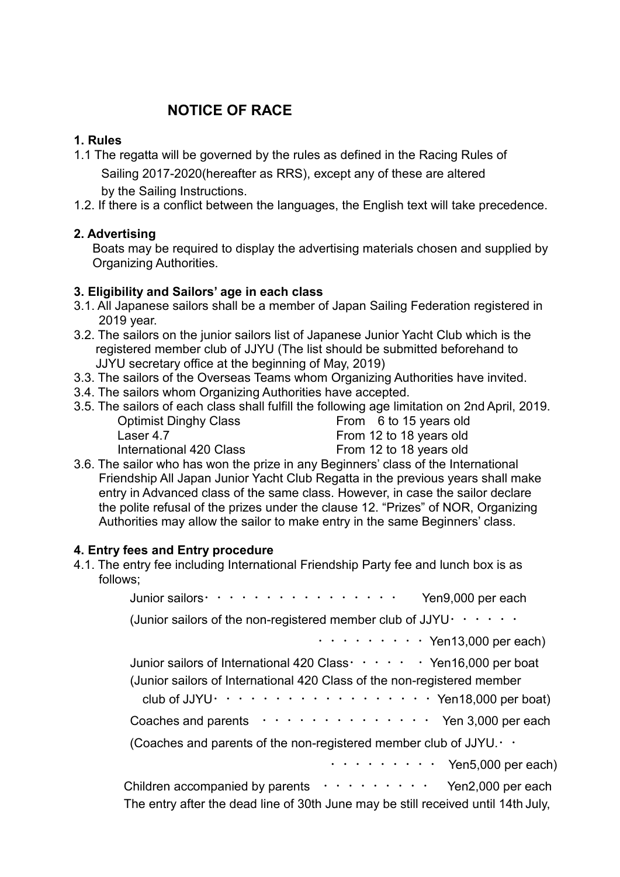# **NOTICE OF RACE**

## **1. Rules**

- 1.1 The regatta will be governed by the rules as defined in the Racing Rules of Sailing 2017‐2020(hereafter as RRS), except any of these are altered by the Sailing Instructions.
- 1.2. If there is a conflict between the languages, the English text will take precedence.

## **2. Advertising**

Boats may be required to display the advertising materials chosen and supplied by Organizing Authorities.

## **3. Eligibility and Sailors' age in each class**

- 3.1. All Japanese sailors shall be a member of Japan Sailing Federation registered in 2019 year.
- 3.2. The sailors on the junior sailors list of Japanese Junior Yacht Club which is the registered member club of JJYU (The list should be submitted beforehand to JJYU secretary office at the beginning of May, 2019)
- 3.3. The sailors of the Overseas Teams whom Organizing Authorities have invited.
- 3.4. The sailors whom Organizing Authorities have accepted.
- 3.5. The sailors of each class shall fulfill the following age limitation on 2nd April, 2019.

| <b>Optimist Dinghy Class</b> | From 6 to 15 years old  |
|------------------------------|-------------------------|
| Laser 4.7                    | From 12 to 18 years old |
| International 420 Class      | From 12 to 18 years old |

| From 6 to 15 years old  |
|-------------------------|
| From 12 to 18 years old |
| From 12 to 18 years old |

3.6. The sailor who has won the prize in any Beginners' class of the International Friendship All Japan Junior Yacht Club Regatta in the previous years shall make entry in Advanced class of the same class. However, in case the sailor declare the polite refusal of the prizes under the clause 12. "Prizes" of NOR, Organizing Authorities may allow the sailor to make entry in the same Beginners' class.

# **4. Entry fees and Entry procedure**

4.1. The entry fee including International Friendship Party fee and lunch box is as follows;

| Junior sailors · · · · · · · · · · · · · · · · · ·<br>Yen9,000 per each                                                  |
|--------------------------------------------------------------------------------------------------------------------------|
| (Junior sailors of the non-registered member club of JJYU $\cdot \cdot \cdot \cdot \cdot \cdot$                          |
| $\cdots$ $\cdots$ $\cdots$ $\cdots$ Yen13,000 per each)                                                                  |
| Junior sailors of International 420 Class · · · · · · Yen16,000 per boat                                                 |
| (Junior sailors of International 420 Class of the non-registered member                                                  |
| club of JJYU $\cdots$ , $\cdots$ , $\cdots$ , $\cdots$ , $\cdots$ , $\cdots$ , $\cdots$ , $\cdots$ , $\cdots$ , $\cdots$ |
| Coaches and parents $\cdots \cdots \cdots \cdots \cdots$ Yen 3,000 per each                                              |
| (Coaches and parents of the non-registered member club of JJYU. $\cdot \cdot$                                            |
| $\cdots$ $\cdots$ $\cdots$ $\cdots$ Yen5,000 per each)                                                                   |
| Children accompanied by parents $\cdots \cdots \cdots$ Yen2,000 per each                                                 |
| The entry after the dead line of 30th June may be still received until 14th July,                                        |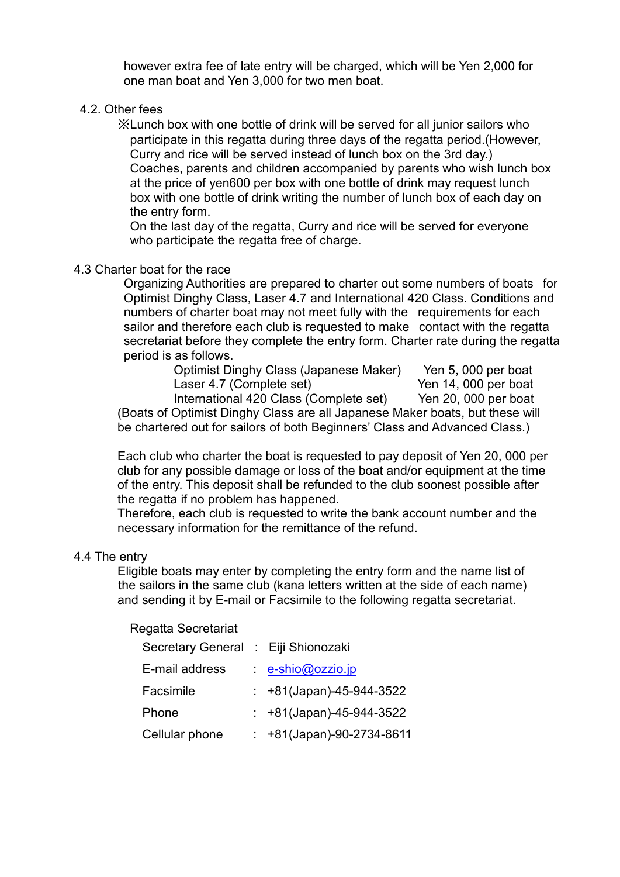however extra fee of late entry will be charged, which will be Yen 2,000 for one man boat and Yen 3,000 for two men boat.

### 4.2. Other fees

※Lunch box with one bottle of drink will be served for all junior sailors who participate in this regatta during three days of the regatta period.(However, Curry and rice will be served instead of lunch box on the 3rd day.) Coaches, parents and children accompanied by parents who wish lunch box at the price of yen600 per box with one bottle of drink may request lunch box with one bottle of drink writing the number of lunch box of each day on the entry form.

On the last day of the regatta, Curry and rice will be served for everyone who participate the regatta free of charge.

### 4.3 Charter boat for the race

Organizing Authorities are prepared to charter out some numbers of boats for Optimist Dinghy Class, Laser 4.7 and International 420 Class. Conditions and numbers of charter boat may not meet fully with the requirements for each sailor and therefore each club is requested to make contact with the regatta secretariat before they complete the entry form. Charter rate during the regatta period is as follows.

Optimist Dinghy Class (Japanese Maker) Yen 5, 000 per boat Laser 4.7 (Complete set) International 420 Class (Complete set) Yen 20, 000 per boat (Boats of Optimist Dinghy Class are all Japanese Maker boats, but these will be chartered out for sailors of both Beginners' Class and Advanced Class.)

 Each club who charter the boat is requested to pay deposit of Yen 20, 000 per club for any possible damage or loss of the boat and/or equipment at the time of the entry. This deposit shall be refunded to the club soonest possible after the regatta if no problem has happened.

 Therefore, each club is requested to write the bank account number and the necessary information for the remittance of the refund.

### 4.4 The entry

Eligible boats may enter by completing the entry form and the name list of the sailors in the same club (kana letters written at the side of each name) and sending it by E-mail or Facsimile to the following regatta secretariat.

### Regatta Secretariat

| Secretary General : Eiji Shionozaki |                               |
|-------------------------------------|-------------------------------|
| E-mail address                      | $\cdot$ e-shio@ozzio.jp       |
| Facsimile                           | $: +81$ (Japan)-45-944-3522   |
| Phone                               | $\div$ +81(Japan)-45-944-3522 |
| Cellular phone                      | $: +81$ (Japan)-90-2734-8611  |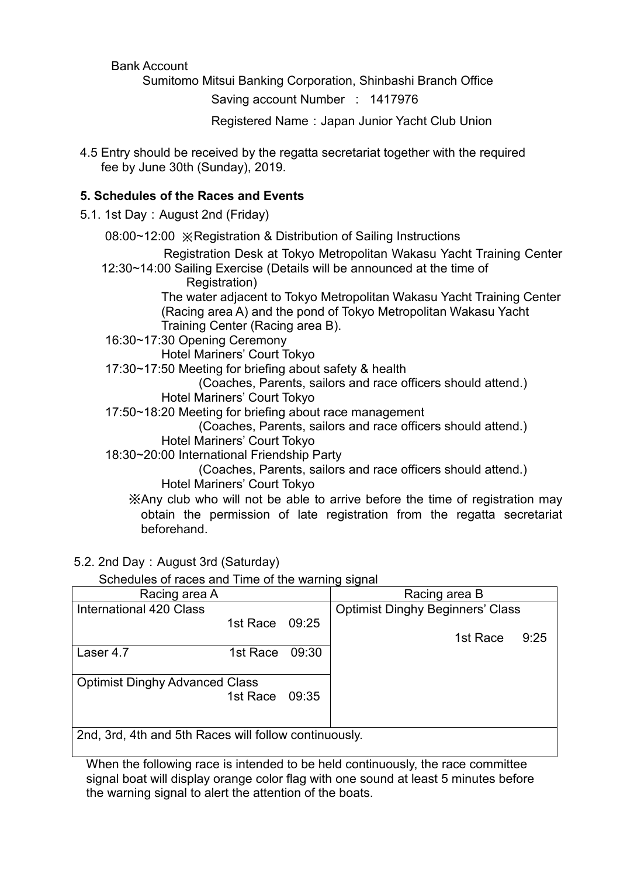### Bank Account

Sumitomo Mitsui Banking Corporation, Shinbashi Branch Office

Saving account Number : 1417976

Registered Name: Japan Junior Yacht Club Union

4.5 Entry should be received by the regatta secretariat together with the required fee by June 30th (Sunday), 2019.

## **5. Schedules of the Races and Events**

5.1. 1st Day: August 2nd (Friday)

08:00~12:00 ※Registration & Distribution of Sailing Instructions

Registration Desk at Tokyo Metropolitan Wakasu Yacht Training Center 12:30~14:00 Sailing Exercise (Details will be announced at the time of

Registration)

 The water adjacent to Tokyo Metropolitan Wakasu Yacht Training Center (Racing area A) and the pond of Tokyo Metropolitan Wakasu Yacht Training Center (Racing area B).

16:30~17:30 Opening Ceremony

Hotel Mariners' Court Tokyo

17:30~17:50 Meeting for briefing about safety & health

(Coaches, Parents, sailors and race officers should attend.)

- Hotel Mariners' Court Tokyo
- 17:50~18:20 Meeting for briefing about race management

(Coaches, Parents, sailors and race officers should attend.) Hotel Mariners' Court Tokyo

18:30~20:00 International Friendship Party

(Coaches, Parents, sailors and race officers should attend.) Hotel Mariners' Court Tokyo

- ※Any club who will not be able to arrive before the time of registration may obtain the permission of late registration from the regatta secretariat beforehand.
- 5.2. 2nd Day: August 3rd (Saturday)

Schedules of races and Time of the warning signal

| Racing area A                                         |                |       | Racing area B                           |
|-------------------------------------------------------|----------------|-------|-----------------------------------------|
| International 420 Class                               |                |       | <b>Optimist Dinghy Beginners' Class</b> |
|                                                       | 1st Race 09:25 |       |                                         |
|                                                       |                |       | 1st Race<br>9:25                        |
| Laser 4.7                                             | 1st Race       | 09:30 |                                         |
|                                                       |                |       |                                         |
| <b>Optimist Dinghy Advanced Class</b>                 |                |       |                                         |
|                                                       | 1st Race 09:35 |       |                                         |
|                                                       |                |       |                                         |
|                                                       |                |       |                                         |
| 2nd, 3rd, 4th and 5th Races will follow continuously. |                |       |                                         |

When the following race is intended to be held continuously, the race committee signal boat will display orange color flag with one sound at least 5 minutes before the warning signal to alert the attention of the boats.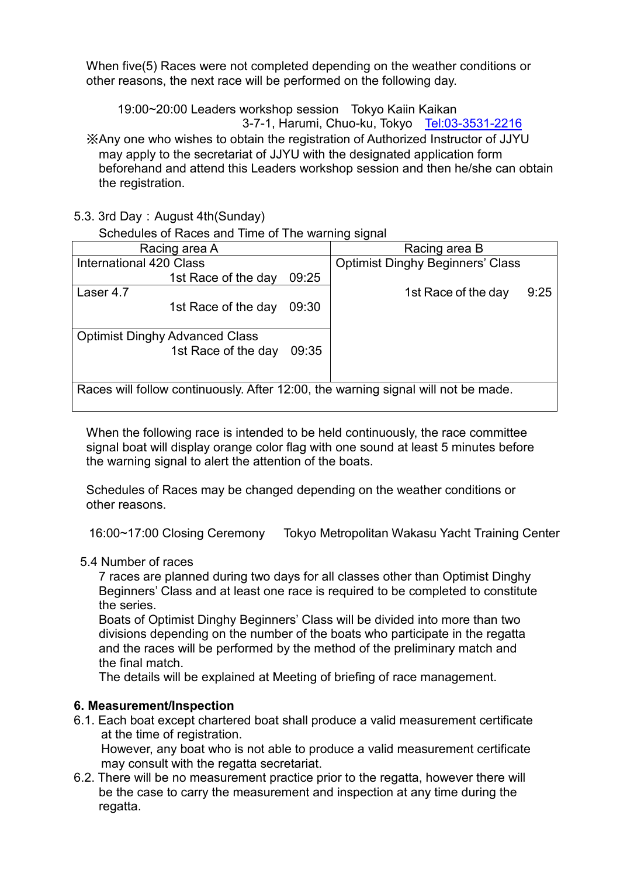When five(5) Races were not completed depending on the weather conditions or other reasons, the next race will be performed on the following day.

19:00~20:00 Leaders workshop session Tokyo Kaiin Kaikan

3-7-1, Harumi, Chuo-ku, Tokyo <Tel:03-3531-2216>

※Any one who wishes to obtain the registration of Authorized Instructor of JJYU may apply to the secretariat of JJYU with the designated application form beforehand and attend this Leaders workshop session and then he/she can obtain the registration.

5.3. 3rd Day: August 4th(Sunday)

Schedules of Races and Time of The warning signal

| Racing area A                                                                     |       | Racing area B                           |      |
|-----------------------------------------------------------------------------------|-------|-----------------------------------------|------|
| International 420 Class                                                           |       | <b>Optimist Dinghy Beginners' Class</b> |      |
| 1st Race of the day                                                               | 09:25 |                                         |      |
| Laser 4.7                                                                         |       | 1st Race of the day                     | 9:25 |
| 1st Race of the day                                                               | 09:30 |                                         |      |
|                                                                                   |       |                                         |      |
| <b>Optimist Dinghy Advanced Class</b>                                             |       |                                         |      |
| 1st Race of the day                                                               | 09:35 |                                         |      |
|                                                                                   |       |                                         |      |
|                                                                                   |       |                                         |      |
| Races will follow continuously. After 12:00, the warning signal will not be made. |       |                                         |      |

When the following race is intended to be held continuously, the race committee signal boat will display orange color flag with one sound at least 5 minutes before the warning signal to alert the attention of the boats.

Schedules of Races may be changed depending on the weather conditions or other reasons.

```
16:00~17:00 Closing Ceremony Tokyo Metropolitan Wakasu Yacht Training Center
```
# 5.4 Number of races

 7 races are planned during two days for all classes other than Optimist Dinghy Beginners' Class and at least one race is required to be completed to constitute the series.

 Boats of Optimist Dinghy Beginners' Class will be divided into more than two divisions depending on the number of the boats who participate in the regatta and the races will be performed by the method of the preliminary match and the final match.

The details will be explained at Meeting of briefing of race management.

# **6. Measurement/Inspection**

6.1. Each boat except chartered boat shall produce a valid measurement certificate at the time of registration.

However, any boat who is not able to produce a valid measurement certificate may consult with the regatta secretariat.

6.2. There will be no measurement practice prior to the regatta, however there will be the case to carry the measurement and inspection at any time during the regatta.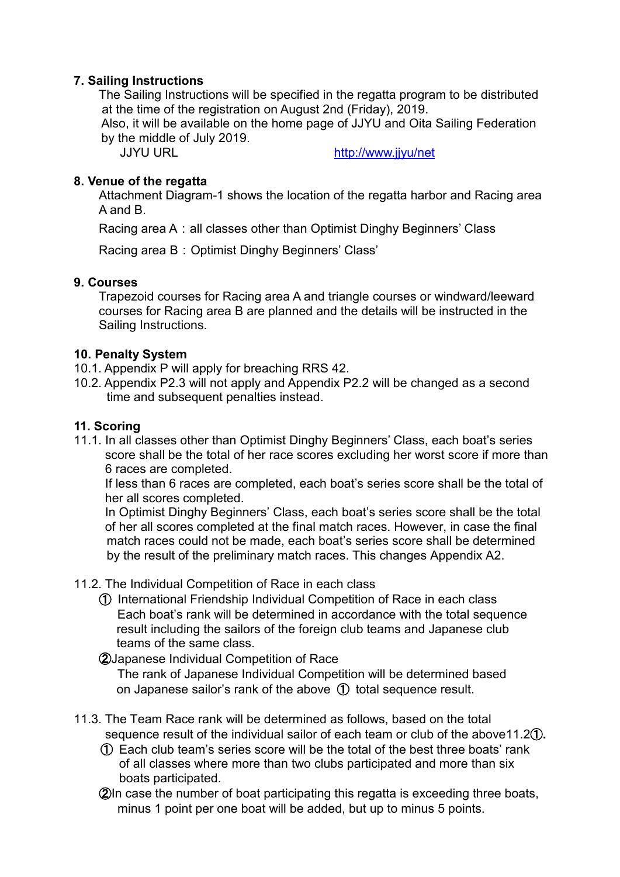### **7. Sailing Instructions**

The Sailing Instructions will be specified in the regatta program to be distributed at the time of the registration on August 2nd (Friday), 2019. Also, it will be available on the home page of JJYU and Oita Sailing Federation by the middle of July 2019.

JJYU URL <http://www.jjyu/net>

### **8. Venue of the regatta**

Attachment Diagram-1 shows the location of the regatta harbor and Racing area A and B.

Racing area A: all classes other than Optimist Dinghy Beginners' Class

Racing area B: Optimist Dinghy Beginners' Class'

### **9. Courses**

Trapezoid courses for Racing area A and triangle courses or windward/leeward courses for Racing area B are planned and the details will be instructed in the Sailing Instructions.

### **10. Penalty System**

- 10.1. Appendix P will apply for breaching RRS 42.
- 10.2. Appendix P2.3 will not apply and Appendix P2.2 will be changed as a second time and subsequent penalties instead.

### **11. Scoring**

11.1. In all classes other than Optimist Dinghy Beginners' Class, each boat's series score shall be the total of her race scores excluding her worst score if more than 6 races are completed.

 If less than 6 races are completed, each boat's series score shall be the total of her all scores completed.

 In Optimist Dinghy Beginners' Class, each boat's series score shall be the total of her all scores completed at the final match races. However, in case the final match races could not be made, each boat's series score shall be determined by the result of the preliminary match races. This changes Appendix A2.

- 11.2. The Individual Competition of Race in each class
	- ① International Friendship Individual Competition of Race in each class Each boat's rank will be determined in accordance with the total sequence result including the sailors of the foreign club teams and Japanese club teams of the same class.

②Japanese Individual Competition of Race The rank of Japanese Individual Competition will be determined based on Japanese sailor's rank of the above ① total sequence result.

- 11.3. The Team Race rank will be determined as follows, based on the total sequence result of the individual sailor of each team or club of the above11.2①**.**
	- ① Each club team's series score will be the total of the best three boats' rank of all classes where more than two clubs participated and more than six boats participated.
	- ②In case the number of boat participating this regatta is exceeding three boats, minus 1 point per one boat will be added, but up to minus 5 points.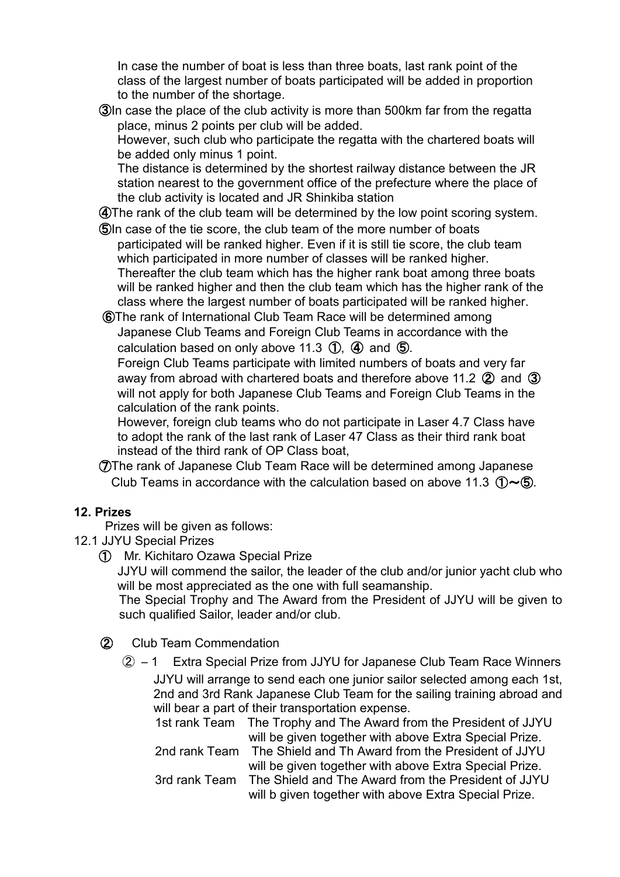In case the number of boat is less than three boats, last rank point of the class of the largest number of boats participated will be added in proportion to the number of the shortage.

 ③In case the place of the club activity is more than 500km far from the regatta place, minus 2 points per club will be added.

However, such club who participate the regatta with the chartered boats will be added only minus 1 point.

The distance is determined by the shortest railway distance between the JR station nearest to the government office of the prefecture where the place of the club activity is located and JR Shinkiba station

④The rank of the club team will be determined by the low point scoring system.

 ⑤In case of the tie score, the club team of the more number of boats participated will be ranked higher. Even if it is still tie score, the club team which participated in more number of classes will be ranked higher. Thereafter the club team which has the higher rank boat among three boats will be ranked higher and then the club team which has the higher rank of the class where the largest number of boats participated will be ranked higher.

 ⑥The rank of International Club Team Race will be determined among Japanese Club Teams and Foreign Club Teams in accordance with the calculation based on only above 11.3  $(1)$ ,  $(4)$  and  $(5)$ .

 Foreign Club Teams participate with limited numbers of boats and very far away from abroad with chartered boats and therefore above 11.2  $(2)$  and  $(3)$ will not apply for both Japanese Club Teams and Foreign Club Teams in the calculation of the rank points.

 However, foreign club teams who do not participate in Laser 4.7 Class have to adopt the rank of the last rank of Laser 47 Class as their third rank boat instead of the third rank of OP Class boat,

 ⑦The rank of Japanese Club Team Race will be determined among Japanese Club Teams in accordance with the calculation based on above 11.3  $(D\sim 6)$ .

# **12. Prizes**

Prizes will be given as follows:

- 12.1 JJYU Special Prizes
	- ➀ Mr. Kichitaro Ozawa Special Prize

 JJYU will commend the sailor, the leader of the club and/or junior yacht club who will be most appreciated as the one with full seamanship.

 The Special Trophy and The Award from the President of JJYU will be given to such qualified Sailor, leader and/or club.

- ② Club Team Commendation
	- ② ―1 Extra Special Prize from JJYU for Japanese Club Team Race Winners JJYU will arrange to send each one junior sailor selected among each 1st, 2nd and 3rd Rank Japanese Club Team for the sailing training abroad and will bear a part of their transportation expense.
		- 1st rank Team The Trophy and The Award from the President of JJYU will be given together with above Extra Special Prize.

 2nd rank Team The Shield and Th Award from the President of JJYU will be given together with above Extra Special Prize.

 3rd rank Team The Shield and The Award from the President of JJYU will b given together with above Extra Special Prize.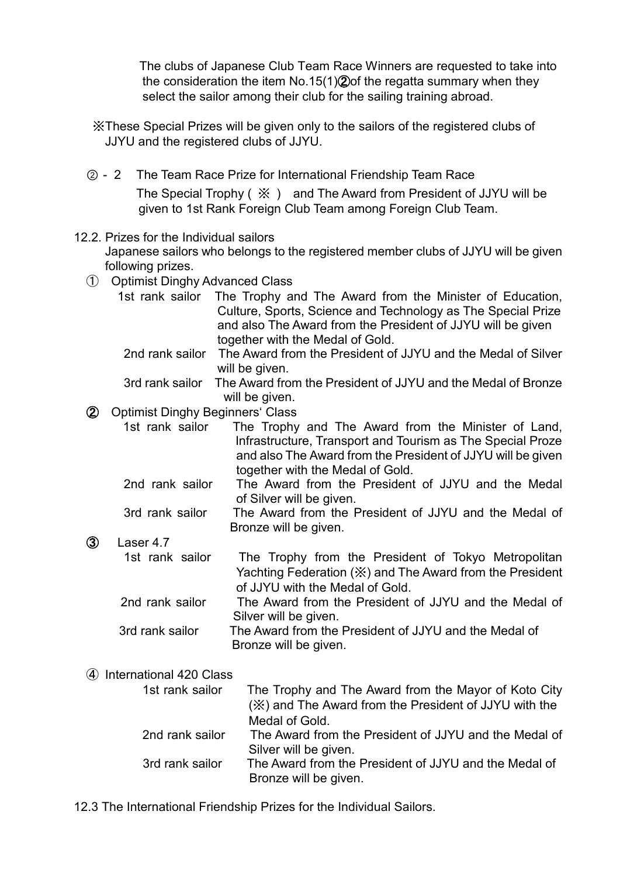The clubs of Japanese Club Team Race Winners are requested to take into the consideration the item No.15(1)②of the regatta summary when they select the sailor among their club for the sailing training abroad.

※These Special Prizes will be given only to the sailors of the registered clubs of JJYU and the registered clubs of JJYU.

 ②-2 The Team Race Prize for International Friendship Team Race The Special Trophy ( ※ ) and The Award from President of JJYU will be given to 1st Rank Foreign Club Team among Foreign Club Team.

### 12.2. Prizes for the Individual sailors

 Japanese sailors who belongs to the registered member clubs of JJYU will be given following prizes.

- ➀ Optimist Dinghy Advanced Class
	- 1st rank sailor The Trophy and The Award from the Minister of Education, Culture, Sports, Science and Technology as The Special Prize and also The Award from the President of JJYU will be given together with the Medal of Gold.
		- 2nd rank sailor The Award from the President of JJYU and the Medal of Silver will be given.
	- 3rd rank sailor The Award from the President of JJYU and the Medal of Bronze will be given.

### ② Optimist Dinghy Beginners' Class

1st rank sailor The Trophy and The Award from the Minister of Land, Infrastructure, Transport and Tourism as The Special Proze and also The Award from the President of JJYU will be given together with the Medal of Gold.

- 2nd rank sailor The Award from the President of JJYU and the Medal of Silver will be given.
- 3rd rank sailor The Award from the President of JJYU and the Medal of Bronze will be given.

## ③ Laser 4.7

- 1st rank sailor The Trophy from the President of Tokyo Metropolitan Yachting Federation (※) and The Award from the President of JJYU with the Medal of Gold.
- 2nd rank sailor The Award from the President of JJYU and the Medal of Silver will be given.
	- 3rd rank sailor The Award from the President of JJYU and the Medal of Bronze will be given.

# ➃ International 420 Class

- 1st rank sailor The Trophy and The Award from the Mayor of Koto City (※) and The Award from the President of JJYU with the Medal of Gold. 2nd rank sailor The Award from the President of JJYU and the Medal of Silver will be given. 3rd rank sailor The Award from the President of JJYU and the Medal of Bronze will be given.
- 12.3 The International Friendship Prizes for the Individual Sailors.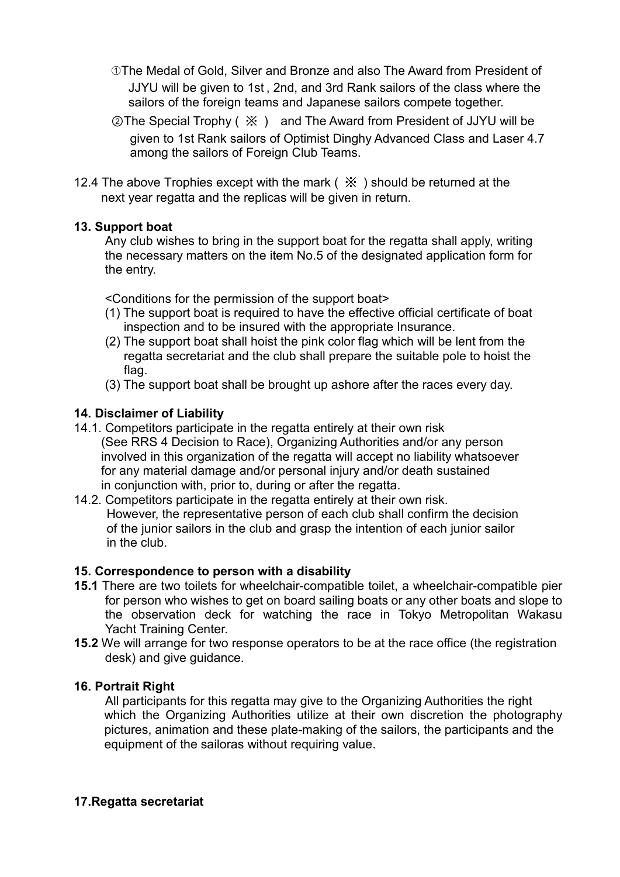- ➀The Medal of Gold, Silver and Bronze and also The Award from President of JJYU will be given to 1st , 2nd, and 3rd Rank sailors of the class where the sailors of the foreign teams and Japanese sailors compete together.
- ②The Special Trophy ( ※ ) and The Award from President of JJYU will be given to 1st Rank sailors of Optimist Dinghy Advanced Class and Laser 4.7 among the sailors of Foreign Club Teams.
- 12.4 The above Trophies except with the mark (  $\frac{1}{2}$  ) should be returned at the next year regatta and the replicas will be given in return.

## **13. Support boat**

 Any club wishes to bring in the support boat for the regatta shall apply, writing the necessary matters on the item No.5 of the designated application form for the entry.

<Conditions for the permission of the support boat>

- (1) The support boat is required to have the effective official certificate of boat inspection and to be insured with the appropriate Insurance.
- (2) The support boat shall hoist the pink color flag which will be lent from the regatta secretariat and the club shall prepare the suitable pole to hoist the flag.
- (3) The support boat shall be brought up ashore after the races every day.

## **14. Disclaimer of Liability**

- 14.1. Competitors participate in the regatta entirely at their own risk (See RRS 4 Decision to Race), Organizing Authorities and/or any person involved in this organization of the regatta will accept no liability whatsoever for any material damage and/or personal injury and/or death sustained in conjunction with, prior to, during or after the regatta.
- 14.2. Competitors participate in the regatta entirely at their own risk. However, the representative person of each club shall confirm the decision of the junior sailors in the club and grasp the intention of each junior sailor in the club.

## **15. Correspondence to person with a disability**

- **15.1** There are two toilets for wheelchair-compatible toilet, a wheelchair-compatible pier for person who wishes to get on board sailing boats or any other boats and slope to the observation deck for watching the race in Tokyo Metropolitan Wakasu Yacht Training Center.
- **15.2** We will arrange for two response operators to be at the race office (the registration desk) and give guidance.

## **16. Portrait Right**

 All participants for this regatta may give to the Organizing Authorities the right which the Organizing Authorities utilize at their own discretion the photography pictures, animation and these plate-making of the sailors, the participants and the equipment of the sailoras without requiring value.

## **17.Regatta secretariat**